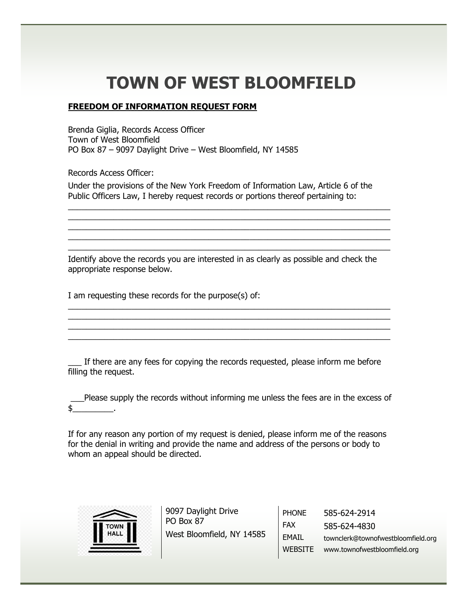## **TOWN OF WEST BLOOMFIELD**

## **FREEDOM OF INFORMATION REQUEST FORM**

Brenda Giglia, Records Access Officer Town of West Bloomfield PO Box 87 – 9097 Daylight Drive – West Bloomfield, NY 14585

Records Access Officer:

Under the provisions of the New York Freedom of Information Law, Article 6 of the Public Officers Law, I hereby request records or portions thereof pertaining to:

 $\_$  , and the set of the set of the set of the set of the set of the set of the set of the set of the set of the set of the set of the set of the set of the set of the set of the set of the set of the set of the set of th \_\_\_\_\_\_\_\_\_\_\_\_\_\_\_\_\_\_\_\_\_\_\_\_\_\_\_\_\_\_\_\_\_\_\_\_\_\_\_\_\_\_\_\_\_\_\_\_\_\_\_\_\_\_\_\_\_\_\_\_\_\_\_\_\_\_\_\_\_\_\_  $\_$  $\_$  , and the set of the set of the set of the set of the set of the set of the set of the set of the set of the set of the set of the set of the set of the set of the set of the set of the set of the set of the set of th  $\_$  , and the set of the set of the set of the set of the set of the set of the set of the set of the set of the set of the set of the set of the set of the set of the set of the set of the set of the set of the set of th

Identify above the records you are interested in as clearly as possible and check the appropriate response below.

 $\_$ \_\_\_\_\_\_\_\_\_\_\_\_\_\_\_\_\_\_\_\_\_\_\_\_\_\_\_\_\_\_\_\_\_\_\_\_\_\_\_\_\_\_\_\_\_\_\_\_\_\_\_\_\_\_\_\_\_\_\_\_\_\_\_\_\_\_\_\_\_\_\_  $\_$ \_\_\_\_\_\_\_\_\_\_\_\_\_\_\_\_\_\_\_\_\_\_\_\_\_\_\_\_\_\_\_\_\_\_\_\_\_\_\_\_\_\_\_\_\_\_\_\_\_\_\_\_\_\_\_\_\_\_\_\_\_\_\_\_\_\_\_\_\_\_\_

I am requesting these records for the purpose(s) of:

\_\_\_ If there are any fees for copying the records requested, please inform me before filling the request.

\_\_\_Please supply the records without informing me unless the fees are in the excess of  $$_-$ 

If for any reason any portion of my request is denied, please inform me of the reasons for the denial in writing and provide the name and address of the persons or body to whom an appeal should be directed.



9097 Daylight Drive PO Box 87 West Bloomfield, NY 14585

PHONE FAX EMAIL WEBSITE www.townofwestbloomfield.org 585-624-2914 585-624-4830 townclerk@townofwestbloomfield.org